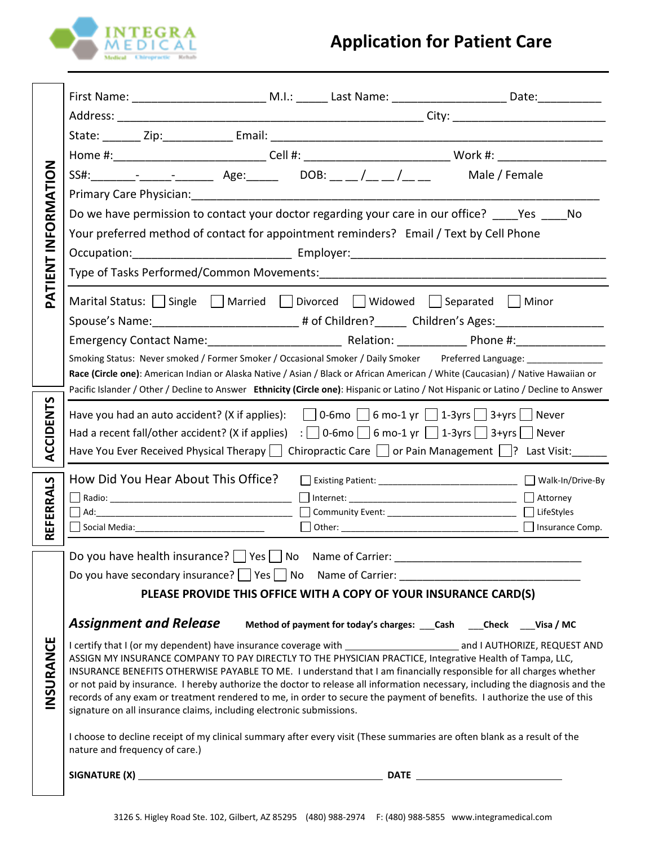

| PATIENT INFORMATION |                                                                                                                                                                                                                                                                                                                                                                                                                                                                                                                                                                     |
|---------------------|---------------------------------------------------------------------------------------------------------------------------------------------------------------------------------------------------------------------------------------------------------------------------------------------------------------------------------------------------------------------------------------------------------------------------------------------------------------------------------------------------------------------------------------------------------------------|
|                     |                                                                                                                                                                                                                                                                                                                                                                                                                                                                                                                                                                     |
|                     | Home #:_______________________________Cell #: _________________________________Work #: _______________________                                                                                                                                                                                                                                                                                                                                                                                                                                                      |
|                     | SS#: ________- ________________ Age: _______ DOB: __ __ /__ __ /__ ___ Male / Female                                                                                                                                                                                                                                                                                                                                                                                                                                                                                |
|                     |                                                                                                                                                                                                                                                                                                                                                                                                                                                                                                                                                                     |
|                     | Do we have permission to contact your doctor regarding your care in our office? Yes No                                                                                                                                                                                                                                                                                                                                                                                                                                                                              |
|                     | Your preferred method of contact for appointment reminders? Email / Text by Cell Phone                                                                                                                                                                                                                                                                                                                                                                                                                                                                              |
|                     |                                                                                                                                                                                                                                                                                                                                                                                                                                                                                                                                                                     |
|                     | Type of Tasks Performed/Common Movements: [1986] Type of Tasks Performed/Common Movements:                                                                                                                                                                                                                                                                                                                                                                                                                                                                          |
|                     | Marital Status: $\Box$ Single $\Box$ Married $\Box$ Divorced $\Box$ Widowed $\Box$ Separated $\Box$ Minor<br>Spouse's Name:____________________________# of Children?________ Children's Ages:___________________                                                                                                                                                                                                                                                                                                                                                   |
|                     |                                                                                                                                                                                                                                                                                                                                                                                                                                                                                                                                                                     |
|                     | Smoking Status: Never smoked / Former Smoker / Occasional Smoker / Daily Smoker Preferred Language: _____________                                                                                                                                                                                                                                                                                                                                                                                                                                                   |
|                     | Race (Circle one): American Indian or Alaska Native / Asian / Black or African American / White (Caucasian) / Native Hawaiian or                                                                                                                                                                                                                                                                                                                                                                                                                                    |
|                     | Pacific Islander / Other / Decline to Answer Ethnicity (Circle one): Hispanic or Latino / Not Hispanic or Latino / Decline to Answer                                                                                                                                                                                                                                                                                                                                                                                                                                |
| <b>ACCIDENT</b>     | Have you had an auto accident? (X if applies): $\Box$ 0-6mo $\Box$ 6 mo-1 yr $\Box$ 1-3yrs $\Box$ 3+yrs $\Box$ Never                                                                                                                                                                                                                                                                                                                                                                                                                                                |
|                     |                                                                                                                                                                                                                                                                                                                                                                                                                                                                                                                                                                     |
|                     | Have You Ever Received Physical Therapy     Chiropractic Care     or Pain Management    ? Last Visit:                                                                                                                                                                                                                                                                                                                                                                                                                                                               |
|                     | How Did You Hear About This Office?<br>U Existing Patient: _______________________________ U Walk-In/Drive-By                                                                                                                                                                                                                                                                                                                                                                                                                                                       |
|                     |                                                                                                                                                                                                                                                                                                                                                                                                                                                                                                                                                                     |
| REFERRALS           |                                                                                                                                                                                                                                                                                                                                                                                                                                                                                                                                                                     |
|                     |                                                                                                                                                                                                                                                                                                                                                                                                                                                                                                                                                                     |
|                     | Do you have health insurance? $\Box$ Yes $\Box$ No Name of Carrier:<br>Do you have secondary insurance? Ves No Name of Carrier: _______________________                                                                                                                                                                                                                                                                                                                                                                                                             |
|                     | PLEASE PROVIDE THIS OFFICE WITH A COPY OF YOUR INSURANCE CARD(S)                                                                                                                                                                                                                                                                                                                                                                                                                                                                                                    |
|                     |                                                                                                                                                                                                                                                                                                                                                                                                                                                                                                                                                                     |
|                     | <b>Assignment and Release</b><br>Method of payment for today's charges: ___ Cash ____ Check ____ Visa / MC                                                                                                                                                                                                                                                                                                                                                                                                                                                          |
| INSURANCE           | ASSIGN MY INSURANCE COMPANY TO PAY DIRECTLY TO THE PHYSICIAN PRACTICE, Integrative Health of Tampa, LLC,<br>INSURANCE BENEFITS OTHERWISE PAYABLE TO ME. I understand that I am financially responsible for all charges whether<br>or not paid by insurance. I hereby authorize the doctor to release all information necessary, including the diagnosis and the<br>records of any exam or treatment rendered to me, in order to secure the payment of benefits. I authorize the use of this<br>signature on all insurance claims, including electronic submissions. |
|                     | I choose to decline receipt of my clinical summary after every visit (These summaries are often blank as a result of the<br>nature and frequency of care.)                                                                                                                                                                                                                                                                                                                                                                                                          |
|                     |                                                                                                                                                                                                                                                                                                                                                                                                                                                                                                                                                                     |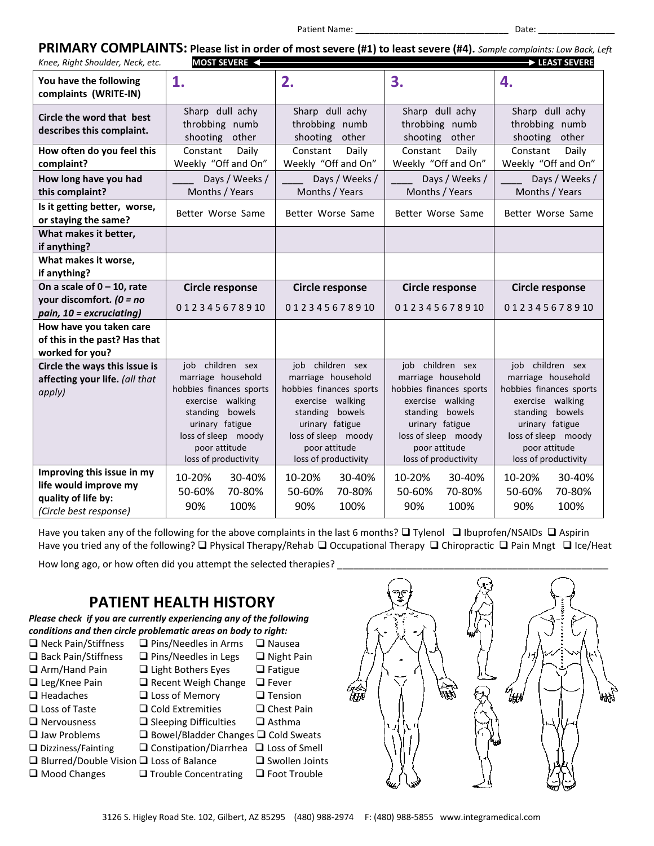#### Patient Name: \_\_\_\_\_\_\_\_\_\_\_\_\_\_\_\_\_\_\_\_\_\_\_\_\_\_\_\_\_\_\_\_ Date: \_\_\_\_\_\_\_\_\_\_\_\_\_\_\_\_

|                                  |                          | PRIMARY COMPLAINTS: Please list in order of most severe (#1) to least severe (#4). Sample complaints: Low Back, Left |
|----------------------------------|--------------------------|----------------------------------------------------------------------------------------------------------------------|
| Knee, Right Shoulder, Neck, etc. | MOST SEVERE $\leftarrow$ | $\rightarrow$ LEAST SEVERE                                                                                           |

| Knee, Right Shoulder, Neck, etc.                       | <b>MOSI SEVERE</b>                                     |                                                        |                                                        | D LEASI SEVERE                                         |
|--------------------------------------------------------|--------------------------------------------------------|--------------------------------------------------------|--------------------------------------------------------|--------------------------------------------------------|
| You have the following<br>complaints (WRITE-IN)        | 1.                                                     | 2.                                                     | 3.                                                     | 4.                                                     |
| Circle the word that best<br>describes this complaint. | Sharp dull achy<br>throbbing numb<br>other<br>shooting | Sharp dull achy<br>throbbing numb<br>shooting<br>other | Sharp dull achy<br>throbbing numb<br>shooting<br>other | Sharp dull achy<br>throbbing numb<br>shooting<br>other |
| How often do you feel this                             | Constant<br>Daily                                      | Constant<br>Daily                                      | Constant<br>Daily                                      | Constant<br>Daily                                      |
| complaint?                                             | Weekly "Off and On"                                    | Weekly "Off and On"                                    | Weekly "Off and On"                                    | Weekly "Off and On"                                    |
| How long have you had                                  | Days / Weeks /                                         | Days / Weeks /                                         | Days / Weeks /                                         | Days / Weeks /                                         |
| this complaint?                                        | Months / Years                                         | Months / Years                                         | Months / Years                                         | Months / Years                                         |
| Is it getting better, worse,<br>or staying the same?   | Better Worse Same                                      | Better Worse Same                                      | Better Worse Same                                      | Better Worse Same                                      |
| What makes it better,<br>if anything?                  |                                                        |                                                        |                                                        |                                                        |
| What makes it worse,<br>if anything?                   |                                                        |                                                        |                                                        |                                                        |
| On a scale of $0 - 10$ , rate                          | <b>Circle response</b>                                 | <b>Circle response</b>                                 | <b>Circle response</b>                                 | <b>Circle response</b>                                 |
| your discomfort. $(0 = no$                             | 012345678910                                           | 012345678910                                           | 012345678910                                           | 012345678910                                           |
| pain, 10 = excruciating)                               |                                                        |                                                        |                                                        |                                                        |
| How have you taken care                                |                                                        |                                                        |                                                        |                                                        |
| of this in the past? Has that<br>worked for you?       |                                                        |                                                        |                                                        |                                                        |
| Circle the ways this issue is                          | job children sex                                       | job children sex                                       | job children sex                                       | job children sex                                       |
| affecting your life. (all that                         | marriage household                                     | marriage household                                     | marriage household                                     | marriage household                                     |
| apply)                                                 | hobbies finances sports<br>exercise walking            | hobbies finances sports<br>exercise walking            | hobbies finances sports<br>exercise walking            | hobbies finances sports<br>exercise walking            |
|                                                        | standing bowels                                        | standing bowels                                        | standing bowels                                        | standing bowels                                        |
|                                                        | urinary fatigue                                        | urinary fatigue                                        | urinary fatigue                                        | urinary fatigue                                        |
|                                                        | loss of sleep moody                                    | loss of sleep moody                                    | loss of sleep moody                                    | loss of sleep moody                                    |
|                                                        | poor attitude<br>loss of productivity                  | poor attitude<br>loss of productivity                  | poor attitude<br>loss of productivity                  | poor attitude<br>loss of productivity                  |
| Improving this issue in my                             | 10-20%<br>30-40%                                       | 10-20%<br>30-40%                                       | 10-20%<br>30-40%                                       | 10-20%<br>30-40%                                       |
| life would improve my                                  | 50-60%<br>70-80%                                       | 50-60%<br>70-80%                                       | 50-60%<br>70-80%                                       | 50-60%<br>70-80%                                       |
| quality of life by:                                    | 90%<br>100%                                            | 100%<br>90%                                            | 90%<br>100%                                            | 100%<br>90%                                            |
| (Circle best response)                                 |                                                        |                                                        |                                                        |                                                        |

Have you taken any of the following for the above complaints in the last 6 months? ❑ Tylenol ❑ Ibuprofen/NSAIDs ❑ Aspirin Have you tried any of the following? ❑ Physical Therapy/Rehab ❑ Occupational Therapy ❑ Chiropractic ❑ Pain Mngt ❑ Ice/Heat

How long ago, or how often did you attempt the selected therapies? \_

## **PATIENT HEALTH HISTORY**



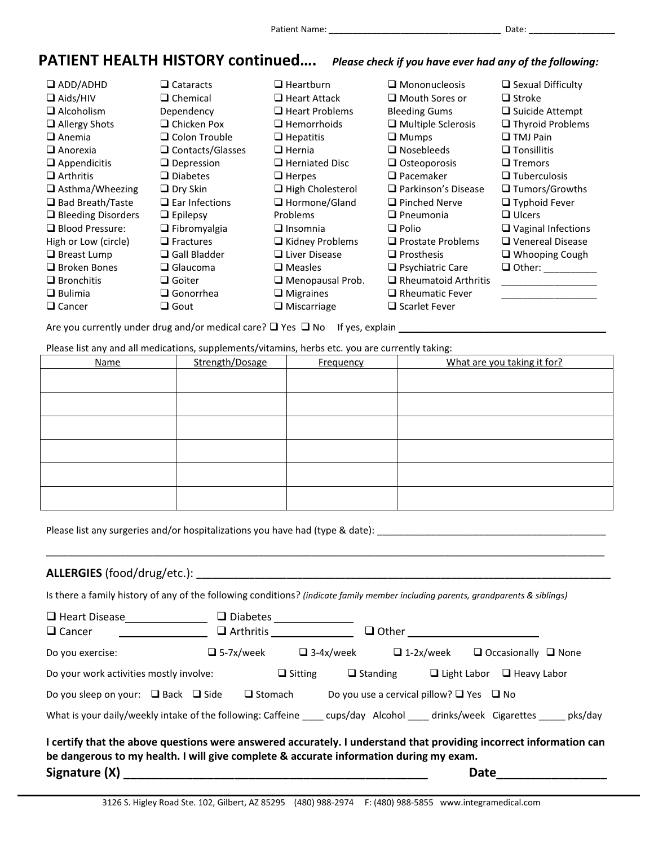## **PATIENT HEALTH HISTORY continued….** *Please check if you have ever had any of the following:*

❑ ADD/ADHD ❑ Aids/HIV ❑ Alcoholism ❑ Allergy Shots ❑ Anemia ❑ Anorexia ❑ Appendicitis ❑ Arthritis ❑ Asthma/Wheezing ❑ Bad Breath/Taste ❑ Bleeding Disorders ❑ Blood Pressure: High or Low (circle) ❑ Breast Lump ❑ Broken Bones ❑ Bronchitis ❑ Bulimia ❑ Cancer ❑ Cataracts ❑ Chemical Dependency ❑ Chicken Pox ❑ Colon Trouble ❑ Contacts/Glasses ❑ Depression ❑ Diabetes ❑ Dry Skin ❑ Ear Infections ❑ Epilepsy ❑ Fibromyalgia ❑ Fractures ❑ Gall Bladder ❑ Glaucoma ❑ Goiter ❑ Gonorrhea ❑ Gout ❑ Heartburn ❑ Heart Attack ❑ Heart Problems ❑ Hemorrhoids ❑ Hepatitis ❑ Hernia ❑ Herniated Disc ❑ Herpes ❑ High Cholesterol ❑ Hormone/Gland Problems ❑ Insomnia ❑ Kidney Problems ❑ Liver Disease ❑ Measles ❑ Menopausal Prob. ❑ Migraines ❑ Miscarriage ❑ Mononucleosis ❑ Mouth Sores or Bleeding Gums ❑ Multiple Sclerosis ❑ Mumps ❑ Nosebleeds ❑ Osteoporosis ❑ Pacemaker ❑ Parkinson's Disease ❑ Pinched Nerve ❑ Pneumonia ❑ Polio ❑ Prostate Problems ❑ Prosthesis ❑ Psychiatric Care ❑ Rheumatoid Arthritis ❑ Rheumatic Fever ❑ Scarlet Fever ❑ Sexual Difficulty ❑ Stroke ❑ Suicide Attempt ❑ Thyroid Problems ❑ TMJ Pain ❑ Tonsillitis ❑ Tremors ❑ Tuberculosis ❑ Tumors/Growths ❑ Typhoid Fever ❑ Ulcers ❑ Vaginal Infections ❑ Venereal Disease ❑ Whooping Cough ❑ Other: \_\_\_\_\_\_\_\_\_\_ \_\_\_\_\_\_\_\_\_\_\_\_\_\_\_\_\_\_ \_\_\_\_\_\_\_\_\_\_\_\_\_\_\_\_\_\_

Are you currently under drug and/or medical care?  $\square$  Yes  $\square$  No If yes, explain  $\square$ 

Please list any and all medications, supplements/vitamins, herbs etc. you are currently taking:

| <b>Name</b> | Strength/Dosage | Frequency | What are you taking it for? |
|-------------|-----------------|-----------|-----------------------------|
|             |                 |           |                             |
|             |                 |           |                             |
|             |                 |           |                             |
|             |                 |           |                             |
|             |                 |           |                             |
|             |                 |           |                             |

\_\_\_\_\_\_\_\_\_\_\_\_\_\_\_\_\_\_\_\_\_\_\_\_\_\_\_\_\_\_\_\_\_\_\_\_\_\_\_\_\_\_\_\_\_\_\_\_\_\_\_\_\_\_\_\_\_\_\_\_\_\_\_\_\_\_\_\_\_\_\_\_\_\_\_\_\_\_\_\_\_\_\_\_\_\_\_\_\_\_\_\_\_\_\_\_\_\_\_\_\_\_\_\_\_

Please list any surgeries and/or hospitalizations you have had (type & date):

#### **ALLERGIES** (food/drug/etc.): **\_\_\_\_\_\_\_\_\_\_\_\_\_\_\_\_\_\_\_\_\_\_\_\_\_\_\_\_\_\_\_\_\_\_\_\_\_\_\_\_\_\_\_\_\_\_\_\_\_\_\_\_\_\_\_\_\_\_\_\_\_\_\_\_\_\_\_\_\_\_\_\_\_\_\_\_\_\_**

Is there a family history of any of the following conditions? *(indicate family member including parents, grandparents & siblings)*

| $\Box$ Heart Disease                                                                                                                                                                                         |  | $\square$ Diabetes |                |                  |                                                    |                    |                                 |         |
|--------------------------------------------------------------------------------------------------------------------------------------------------------------------------------------------------------------|--|--------------------|----------------|------------------|----------------------------------------------------|--------------------|---------------------------------|---------|
| $\Box$ Cancer                                                                                                                                                                                                |  | $\Box$ Arthritis   |                |                  | $\Box$ Other                                       |                    |                                 |         |
| Do you exercise:                                                                                                                                                                                             |  | $\Box$ 5-7x/week   |                | $\Box$ 3-4x/week | $\Box$ 1-2x/week                                   |                    | $\Box$ Occasionally $\Box$ None |         |
| Do your work activities mostly involve:                                                                                                                                                                      |  |                    | $\Box$ Sitting |                  | $\Box$ Standing                                    | $\Box$ Light Labor | $\Box$ Heavy Labor              |         |
| Do you sleep on your: $\Box$ Back $\Box$ Side                                                                                                                                                                |  | $\Box$ Stomach     |                |                  | Do you use a cervical pillow? $\Box$ Yes $\Box$ No |                    |                                 |         |
| What is your daily/weekly intake of the following: Caffeine cups/day Alcohol drinks/week Cigarettes                                                                                                          |  |                    |                |                  |                                                    |                    |                                 | pks/day |
| I certify that the above questions were answered accurately. I understand that providing incorrect information can<br>be dangerous to my health. I will give complete & accurate information during my exam. |  |                    |                |                  |                                                    |                    |                                 |         |

**Signature (X) \_\_\_\_\_\_\_\_\_\_\_\_\_\_\_\_\_\_\_\_\_\_\_\_\_\_\_\_\_\_\_\_\_\_\_\_\_\_\_\_\_\_\_\_ Date\_\_\_\_\_\_\_\_\_\_\_\_\_\_\_\_**

3126 S. Higley Road Ste. 102, Gilbert, AZ 85295 (480) 988-2974 F: (480) 988-5855 www.integramedical.com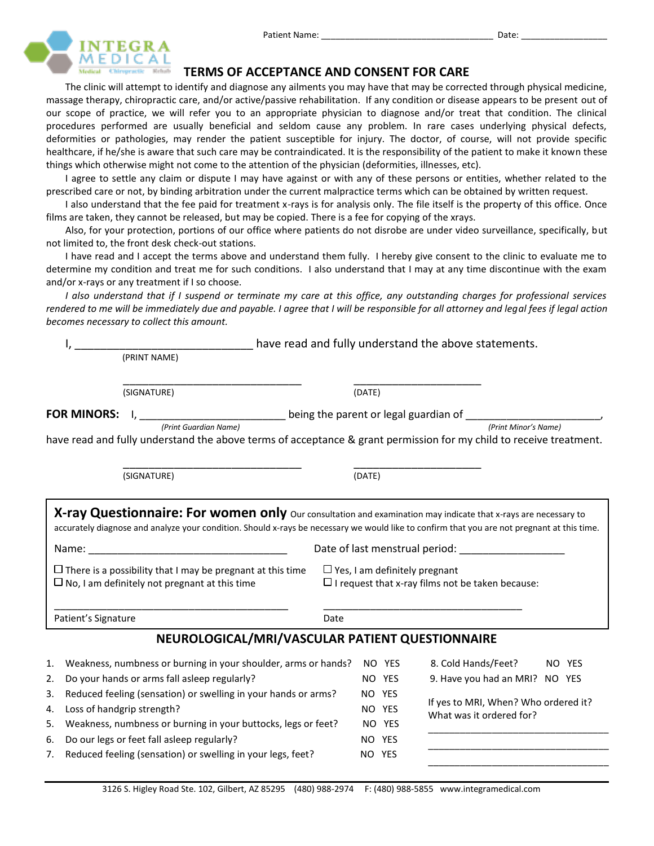

### **TERMS OF ACCEPTANCE AND CONSENT FOR CARE**

The clinic will attempt to identify and diagnose any ailments you may have that may be corrected through physical medicine, massage therapy, chiropractic care, and/or active/passive rehabilitation. If any condition or disease appears to be present out of our scope of practice, we will refer you to an appropriate physician to diagnose and/or treat that condition. The clinical procedures performed are usually beneficial and seldom cause any problem. In rare cases underlying physical defects, deformities or pathologies, may render the patient susceptible for injury. The doctor, of course, will not provide specific healthcare, if he/she is aware that such care may be contraindicated. It is the responsibility of the patient to make it known these things which otherwise might not come to the attention of the physician (deformities, illnesses, etc).

I agree to settle any claim or dispute I may have against or with any of these persons or entities, whether related to the prescribed care or not, by binding arbitration under the current malpractice terms which can be obtained by written request.

I also understand that the fee paid for treatment x-rays is for analysis only. The file itself is the property of this office. Once films are taken, they cannot be released, but may be copied. There is a fee for copying of the xrays.

Also, for your protection, portions of our office where patients do not disrobe are under video surveillance, specifically, but not limited to, the front desk check-out stations.

I have read and I accept the terms above and understand them fully. I hereby give consent to the clinic to evaluate me to determine my condition and treat me for such conditions. I also understand that I may at any time discontinue with the exam and/or x-rays or any treatment if I so choose.

*I also understand that if I suspend or terminate my care at this office, any outstanding charges for professional services rendered to me will be immediately due and payable. I agree that I will be responsible for all attorney and legal fees if legal action becomes necessary to collect this amount.*

|    |                     |                                                                                                                                                                                                                                                                                                                                                                                            |      |        |        | have read and fully understand the above statements.                                            |                                      |        |
|----|---------------------|--------------------------------------------------------------------------------------------------------------------------------------------------------------------------------------------------------------------------------------------------------------------------------------------------------------------------------------------------------------------------------------------|------|--------|--------|-------------------------------------------------------------------------------------------------|--------------------------------------|--------|
|    |                     | (PRINT NAME)                                                                                                                                                                                                                                                                                                                                                                               |      |        |        |                                                                                                 |                                      |        |
|    |                     | (SIGNATURE)                                                                                                                                                                                                                                                                                                                                                                                |      | (DATE) |        |                                                                                                 |                                      |        |
|    |                     | FOR MINORS: I, __________________________ being the parent or legal guardian of ______________________________<br>(Print Guardian Name)                                                                                                                                                                                                                                                    |      |        |        |                                                                                                 | (Print Minor's Name)                 |        |
|    |                     | have read and fully understand the above terms of acceptance & grant permission for my child to receive treatment.                                                                                                                                                                                                                                                                         |      |        |        |                                                                                                 |                                      |        |
|    |                     | (SIGNATURE)                                                                                                                                                                                                                                                                                                                                                                                |      | (DATE) |        |                                                                                                 |                                      |        |
|    |                     | X-ray Questionnaire: For women only Our consultation and examination may indicate that x-rays are necessary to<br>accurately diagnose and analyze your condition. Should x-rays be necessary we would like to confirm that you are not pregnant at this time.<br>$\Box$ There is a possibility that I may be pregnant at this time<br>$\Box$ No, I am definitely not pregnant at this time |      |        |        | $\Box$ Yes, I am definitely pregnant<br>$\Box$ I request that x-ray films not be taken because: |                                      |        |
|    | Patient's Signature |                                                                                                                                                                                                                                                                                                                                                                                            | Date |        |        |                                                                                                 |                                      |        |
|    |                     | NEUROLOGICAL/MRI/VASCULAR PATIENT QUESTIONNAIRE                                                                                                                                                                                                                                                                                                                                            |      |        |        |                                                                                                 |                                      |        |
| 1. |                     | Weakness, numbness or burning in your shoulder, arms or hands?                                                                                                                                                                                                                                                                                                                             |      |        | NO YES | 8. Cold Hands/Feet?                                                                             |                                      | NO YES |
| 2. |                     | Do your hands or arms fall asleep regularly?                                                                                                                                                                                                                                                                                                                                               |      |        | NO YES |                                                                                                 | 9. Have you had an MRI? NO YES       |        |
| 3. |                     | Reduced feeling (sensation) or swelling in your hands or arms?                                                                                                                                                                                                                                                                                                                             |      |        | NO YES |                                                                                                 |                                      |        |
| 4. |                     | Loss of handgrip strength?                                                                                                                                                                                                                                                                                                                                                                 |      |        | NO YES | What was it ordered for?                                                                        | If yes to MRI, When? Who ordered it? |        |
| 5. |                     | Weakness, numbness or burning in your buttocks, legs or feet?                                                                                                                                                                                                                                                                                                                              |      |        | NO YES |                                                                                                 |                                      |        |
| 6. |                     | Do our legs or feet fall asleep regularly?                                                                                                                                                                                                                                                                                                                                                 |      |        | NO YES |                                                                                                 |                                      |        |
|    |                     |                                                                                                                                                                                                                                                                                                                                                                                            |      |        |        |                                                                                                 |                                      |        |

\_\_\_\_\_\_\_\_\_\_\_\_\_\_\_\_\_\_\_\_\_\_\_\_\_\_\_\_\_\_\_\_\_\_

7. Reduced feeling (sensation) or swelling in your legs, feet? NO YES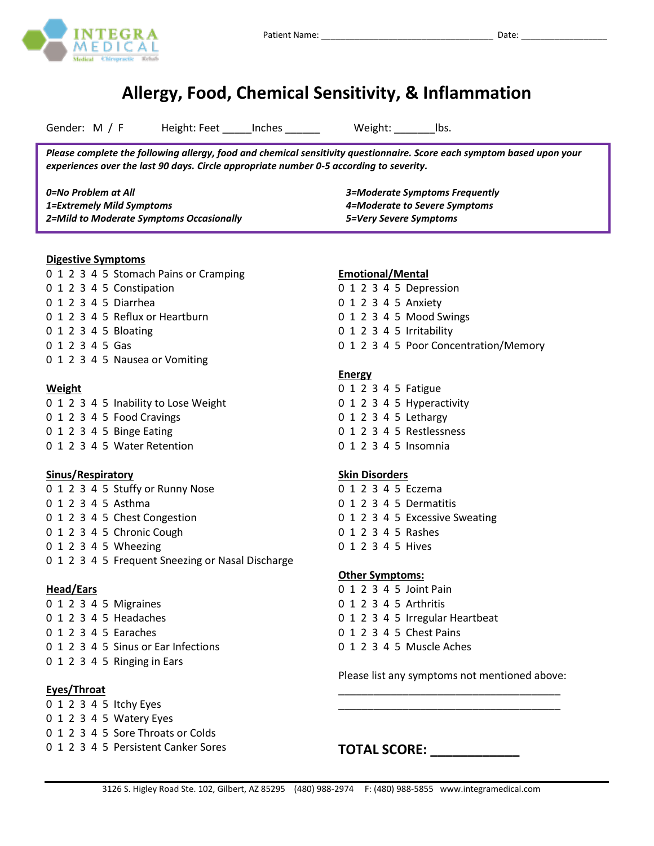# **Allergy, Food, Chemical Sensitivity, & Inflammation**

Gender: M / F Height: Feet \_\_\_\_\_Inches \_\_\_\_\_\_\_ Weight: \_\_\_\_\_\_\_\_Ibs.

*Please complete the following allergy, food and chemical sensitivity questionnaire. Score each symptom based upon your experiences over the last 90 days. Circle appropriate number 0-5 according to severity.* 

*0=No Problem at All 1=Extremely Mild Symptoms 2=Mild to Moderate Symptoms Occasionally 3=Moderate Symptoms Frequently 4=Moderate to Severe Symptoms 5=Very Severe Symptoms*

#### **Digestive Symptoms**

0 1 2 3 4 5 Stomach Pains or Cramping 0 1 2 3 4 5 Constipation 0 1 2 3 4 5 Diarrhea 0 1 2 3 4 5 Reflux or Heartburn 0 1 2 3 4 5 Bloating 0 1 2 3 4 5 Gas 0 1 2 3 4 5 Nausea or Vomiting

#### **Weight**

0 1 2 3 4 5 Inability to Lose Weight 0 1 2 3 4 5 Food Cravings 0 1 2 3 4 5 Binge Eating 0 1 2 3 4 5 Water Retention

#### **Sinus/Respiratory**

0 1 2 3 4 5 Stuffy or Runny Nose 0 1 2 3 4 5 Asthma 0 1 2 3 4 5 Chest Congestion 0 1 2 3 4 5 Chronic Cough 0 1 2 3 4 5 Wheezing 0 1 2 3 4 5 Frequent Sneezing or Nasal Discharge

#### **Head/Ears**

0 1 2 3 4 5 Migraines 0 1 2 3 4 5 Headaches 0 1 2 3 4 5 Earaches 0 1 2 3 4 5 Sinus or Ear Infections 0 1 2 3 4 5 Ringing in Ears

#### **Eyes/Throat**

0 1 2 3 4 5 Itchy Eyes 0 1 2 3 4 5 Watery Eyes 0 1 2 3 4 5 Sore Throats or Colds 0 1 2 3 4 5 Persistent Canker Sores

#### **Emotional/Mental**

|  |  |  | 0 1 2 3 4 5 Depression   |
|--|--|--|--------------------------|
|  |  |  | 0 1 2 3 4 5 Anxiety      |
|  |  |  | 0 1 2 3 4 5 Mood Swings  |
|  |  |  | 0 1 2 3 4 5 Irritability |

0 1 2 3 4 5 Poor Concentration/Memory

#### **Energy**

0 1 2 3 4 5 Fatigue 0 1 2 3 4 5 Hyperactivity 0 1 2 3 4 5 Lethargy 0 1 2 3 4 5 Restlessness 0 1 2 3 4 5 Insomnia

#### **Skin Disorders**

0 1 2 3 4 5 Eczema 0 1 2 3 4 5 Dermatitis 0 1 2 3 4 5 Excessive Sweating 0 1 2 3 4 5 Rashes 0 1 2 3 4 5 Hives

#### **Other Symptoms:**

- 0 1 2 3 4 5 Joint Pain
- 0 1 2 3 4 5 Arthritis
- 0 1 2 3 4 5 Irregular Heartbeat
- 0 1 2 3 4 5 Chest Pains
- 0 1 2 3 4 5 Muscle Aches

Please list any symptoms not mentioned above: \_\_\_\_\_\_\_\_\_\_\_\_\_\_\_\_\_\_\_\_\_\_\_\_\_\_\_\_\_\_\_\_\_\_\_\_\_\_

\_\_\_\_\_\_\_\_\_\_\_\_\_\_\_\_\_\_\_\_\_\_\_\_\_\_\_\_\_\_\_\_\_\_\_\_\_\_

**TOTAL SCORE: \_\_\_\_\_\_\_\_\_\_\_\_**